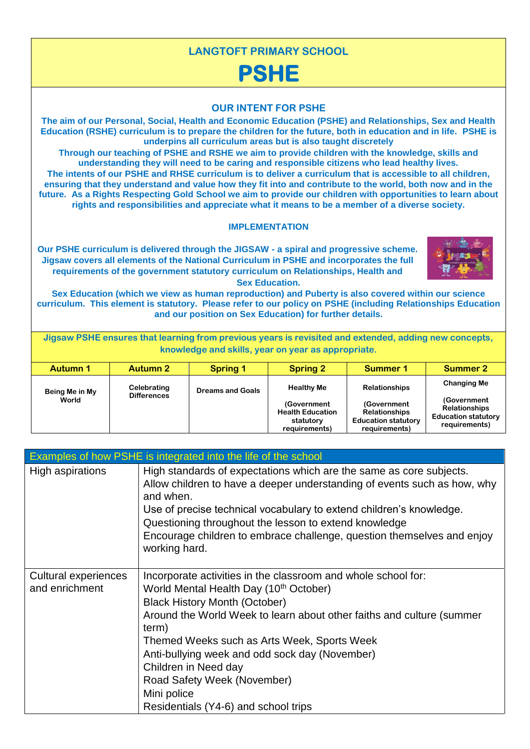

**future. As a Rights Respecting Gold School we aim to provide our children with opportunities to learn about rights and responsibilities and appreciate what it means to be a member of a diverse society.** 

**LANGTOFT PRIMARY SCHOOL**

## **IMPLEMENTATION**

**Our PSHE curriculum is delivered through the JIGSAW - a spiral and progressive scheme. Jigsaw covers all elements of the National Curriculum in PSHE and incorporates the full requirements of the government statutory curriculum on Relationships, Health and Sex Education.** 



**Sex Education (which we view as human reproduction) and Puberty is also covered within our science curriculum. This element is statutory. Please refer to our policy on PSHE (including Relationships Education and our position on Sex Education) for further details.** 

**Jigsaw PSHE ensures that learning from previous years is revisited and extended, adding new concepts, knowledge and skills, year on year as appropriate.** 

| <b>Autumn 1</b>         | <b>Autumn 2</b>                   | <b>Spring 1</b>         | <b>Spring 2</b>                                                                           | Summer 1                                                                                                   | <b>Summer 2</b>                                                                                          |
|-------------------------|-----------------------------------|-------------------------|-------------------------------------------------------------------------------------------|------------------------------------------------------------------------------------------------------------|----------------------------------------------------------------------------------------------------------|
| Being Me in My<br>World | Celebrating<br><b>Differences</b> | <b>Dreams and Goals</b> | <b>Healthy Me</b><br>(Government<br><b>Health Education</b><br>statutory<br>requirements) | <b>Relationships</b><br>(Government<br><b>Relationships</b><br><b>Education statutory</b><br>requirements) | <b>Changing Me</b><br>(Government<br><b>Relationships</b><br><b>Education statutory</b><br>requirements) |

|                                        | Examples of how PSHE is integrated into the life of the school                                                                                                                                                                                                                                                                                                                                                                                               |
|----------------------------------------|--------------------------------------------------------------------------------------------------------------------------------------------------------------------------------------------------------------------------------------------------------------------------------------------------------------------------------------------------------------------------------------------------------------------------------------------------------------|
| High aspirations                       | High standards of expectations which are the same as core subjects.<br>Allow children to have a deeper understanding of events such as how, why<br>and when.<br>Use of precise technical vocabulary to extend children's knowledge.<br>Questioning throughout the lesson to extend knowledge<br>Encourage children to embrace challenge, question themselves and enjoy<br>working hard.                                                                      |
| Cultural experiences<br>and enrichment | Incorporate activities in the classroom and whole school for:<br>World Mental Health Day (10 <sup>th</sup> October)<br><b>Black History Month (October)</b><br>Around the World Week to learn about other faiths and culture (summer<br>term)<br>Themed Weeks such as Arts Week, Sports Week<br>Anti-bullying week and odd sock day (November)<br>Children in Need day<br>Road Safety Week (November)<br>Mini police<br>Residentials (Y4-6) and school trips |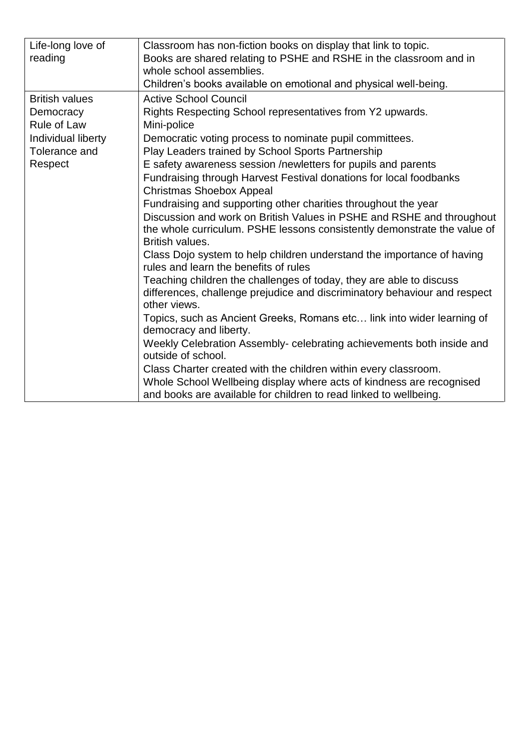| Life-long love of     | Classroom has non-fiction books on display that link to topic.                              |
|-----------------------|---------------------------------------------------------------------------------------------|
| reading               | Books are shared relating to PSHE and RSHE in the classroom and in                          |
|                       | whole school assemblies.                                                                    |
|                       | Children's books available on emotional and physical well-being.                            |
| <b>British values</b> | <b>Active School Council</b>                                                                |
| Democracy             | Rights Respecting School representatives from Y2 upwards.                                   |
| <b>Rule of Law</b>    | Mini-police                                                                                 |
| Individual liberty    | Democratic voting process to nominate pupil committees.                                     |
| Tolerance and         | Play Leaders trained by School Sports Partnership                                           |
| Respect               | E safety awareness session /newletters for pupils and parents                               |
|                       | Fundraising through Harvest Festival donations for local foodbanks                          |
|                       | <b>Christmas Shoebox Appeal</b>                                                             |
|                       | Fundraising and supporting other charities throughout the year                              |
|                       | Discussion and work on British Values in PSHE and RSHE and throughout                       |
|                       | the whole curriculum. PSHE lessons consistently demonstrate the value of<br>British values. |
|                       | Class Dojo system to help children understand the importance of having                      |
|                       | rules and learn the benefits of rules                                                       |
|                       | Teaching children the challenges of today, they are able to discuss                         |
|                       | differences, challenge prejudice and discriminatory behaviour and respect                   |
|                       | other views.                                                                                |
|                       | Topics, such as Ancient Greeks, Romans etc link into wider learning of                      |
|                       | democracy and liberty.                                                                      |
|                       | Weekly Celebration Assembly- celebrating achievements both inside and<br>outside of school. |
|                       | Class Charter created with the children within every classroom.                             |
|                       | Whole School Wellbeing display where acts of kindness are recognised                        |
|                       | and books are available for children to read linked to wellbeing.                           |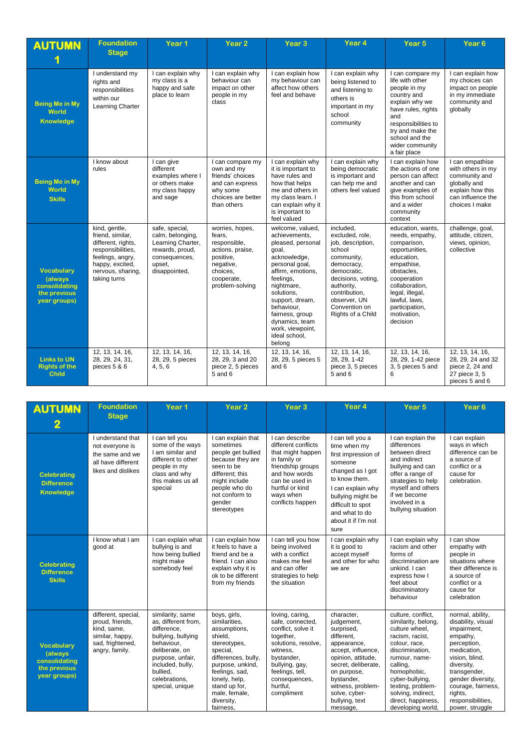| <b>AUTUMN</b>                                                                         | <b>Foundation</b><br><b>Stage</b>                                                                                                                        | Year 1                                                                                                                 | Year <sub>2</sub>                                                                                                                    | Year <sub>3</sub>                                                                                                                                                                                                                                                                    | Year 4                                                                                                                                                                                                            | Year <sub>5</sub>                                                                                                                                                                                                                 | Year <sub>6</sub>                                                                                                                |
|---------------------------------------------------------------------------------------|----------------------------------------------------------------------------------------------------------------------------------------------------------|------------------------------------------------------------------------------------------------------------------------|--------------------------------------------------------------------------------------------------------------------------------------|--------------------------------------------------------------------------------------------------------------------------------------------------------------------------------------------------------------------------------------------------------------------------------------|-------------------------------------------------------------------------------------------------------------------------------------------------------------------------------------------------------------------|-----------------------------------------------------------------------------------------------------------------------------------------------------------------------------------------------------------------------------------|----------------------------------------------------------------------------------------------------------------------------------|
| <b>Being Me in My</b><br>World<br><b>Knowledge</b>                                    | I understand my<br>rights and<br>responsibilities<br>within our<br>Learning Charter                                                                      | I can explain why<br>my class is a<br>happy and safe<br>place to learn                                                 | I can explain why<br>behaviour can<br>impact on other<br>people in my<br>class                                                       | I can explain how<br>my behaviour can<br>affect how others<br>feel and behave                                                                                                                                                                                                        | I can explain why<br>being listened to<br>and listening to<br>others is<br>important in my<br>school<br>community                                                                                                 | I can compare my<br>life with other<br>people in my<br>country and<br>explain why we<br>have rules, rights<br>and<br>responsibilities to<br>try and make the<br>school and the<br>wider community<br>a fair place                 | I can explain how<br>my choices can<br>impact on people<br>in my immediate<br>community and<br>globally                          |
| <b>Being Me in My</b><br>World<br><b>Skills</b>                                       | I know about<br>rules                                                                                                                                    | I can give<br>different<br>examples where I<br>or others make<br>my class happy<br>and sage                            | I can compare my<br>own and my<br>friends' choices<br>and can express<br>why some<br>choices are better<br>than others               | I can explain why<br>it is important to<br>have rules and<br>how that helps<br>me and others in<br>my class learn. I<br>can explain why it<br>is important to<br>feel valued                                                                                                         | I can explain why<br>being democratic<br>is important and<br>can help me and<br>others feel valued                                                                                                                | I can explain how<br>the actions of one<br>person can affect<br>another and can<br>give examples of<br>this from school<br>and a wider<br>community<br>context                                                                    | I can empathise<br>with others in my<br>community and<br>globally and<br>explain how this<br>can influence the<br>choices I make |
| <b>Vocabulary</b><br><b>(always)</b><br>consolidating<br>the previous<br>year groups) | kind, gentle,<br>friend, similar,<br>different, rights,<br>responsibilities.<br>feelings, angry,<br>happy, excited,<br>nervous, sharing,<br>taking turns | safe, special,<br>calm, belonging,<br>Learning Charter,<br>rewards, proud,<br>consequences,<br>upset,<br>disappointed, | worries, hopes,<br>fears,<br>responsible,<br>actions, praise,<br>positive,<br>negative,<br>choices.<br>cooperate,<br>problem-solving | welcome, valued,<br>achievements,<br>pleased, personal<br>goal,<br>acknowledge,<br>personal goal,<br>affirm, emotions,<br>feelings,<br>nightmare,<br>solutions.<br>support, dream,<br>behaviour.<br>fairness, group<br>dynamics, team<br>work, viewpoint,<br>ideal school,<br>belong | included.<br>excluded, role,<br>job, description,<br>school<br>community,<br>democracy,<br>democratic,<br>decisions, voting,<br>authority,<br>contribution,<br>observer. UN<br>Convention on<br>Rights of a Child | education, wants,<br>needs, empathy,<br>comparison,<br>opportunities,<br>education,<br>empathise,<br>obstacles,<br>cooperation<br>collaboration,<br>legal, illegal,<br>lawful, laws,<br>participation,<br>motivation,<br>decision | challenge, goal,<br>attitude, citizen,<br>views, opinion,<br>collective                                                          |
| <b>Links to UN</b><br><b>Rights of the</b><br><b>Child</b>                            | 12, 13, 14, 16,<br>28, 29, 24, 31,<br>pieces 5 & 6                                                                                                       | 12, 13, 14, 16,<br>28, 29, 5 pieces<br>4, 5, 6                                                                         | 12, 13, 14, 16,<br>28, 29, 3 and 20<br>piece 2, 5 pieces<br>$5$ and $6$                                                              | 12, 13, 14, 16,<br>28, 29, 5 pieces 5<br>and 6                                                                                                                                                                                                                                       | 12, 13, 14, 16,<br>28, 29, 1-42<br>piece 3, 5 pieces<br>$5$ and $6$                                                                                                                                               | 12, 13, 14, 16,<br>28, 29, 1-42 piece<br>3, 5 pieces 5 and<br>6                                                                                                                                                                   | 12, 13, 14, 16,<br>28, 29, 24 and 32<br>piece 2, 24 and<br>27 piece 3, 5<br>pieces 5 and 6                                       |

| <b>AUTUMN</b><br>$\overline{\mathbf{2}}$                                      | <b>Foundation</b><br><b>Stage</b>                                                                              | Year <sub>1</sub>                                                                                                                                                                                    | Year <sub>2</sub>                                                                                                                                                                                                               | Year <sub>3</sub>                                                                                                                                                                                       | Year 4                                                                                                                                                                                                                                  | Year <sub>5</sub>                                                                                                                                                                                                                                                       | Year <sub>6</sub>                                                                                                                                                                                                                             |
|-------------------------------------------------------------------------------|----------------------------------------------------------------------------------------------------------------|------------------------------------------------------------------------------------------------------------------------------------------------------------------------------------------------------|---------------------------------------------------------------------------------------------------------------------------------------------------------------------------------------------------------------------------------|---------------------------------------------------------------------------------------------------------------------------------------------------------------------------------------------------------|-----------------------------------------------------------------------------------------------------------------------------------------------------------------------------------------------------------------------------------------|-------------------------------------------------------------------------------------------------------------------------------------------------------------------------------------------------------------------------------------------------------------------------|-----------------------------------------------------------------------------------------------------------------------------------------------------------------------------------------------------------------------------------------------|
| <b>Celebrating</b><br><b>Difference</b><br><b>Knowledge</b>                   | I understand that<br>not everyone is<br>the same and we<br>all have different<br>likes and dislikes            | I can tell you<br>some of the ways<br>I am similar and<br>different to other<br>people in my<br>class and why<br>this makes us all<br>special                                                        | I can explain that<br>sometimes<br>people get bullied<br>because they are<br>seen to be<br>different: this<br>might include<br>people who do<br>not conform to<br>gender<br>stereotypes                                         | I can describe<br>different conflicts<br>that might happen<br>in family or<br>friendship groups<br>and how words<br>can be used in<br>hurtful or kind<br>ways when<br>conflicts happen                  | I can tell you a<br>time when my<br>first impression of<br>someone<br>changed as I got<br>to know them.<br>I can explain why<br>bullying might be<br>difficult to spot<br>and what to do<br>about it if I'm not<br>sure                 | I can explain the<br>differences<br>between direct<br>and indirect<br>bullying and can<br>offer a range of<br>strategies to help<br>myself and others<br>if we become<br>involved in a<br>bullying situation                                                            | I can explain<br>ways in which<br>difference can be<br>a source of<br>conflict or a<br>cause for<br>celebration.                                                                                                                              |
| <b>Celebrating</b><br><b>Difference</b><br><b>Skills</b>                      | I know what I am<br>good at                                                                                    | I can explain what<br>bullying is and<br>how being bullied<br>might make<br>somebody feel                                                                                                            | I can explain how<br>it feels to have a<br>friend and be a<br>friend. I can also<br>explain why it is<br>ok to be different<br>from my friends                                                                                  | I can tell you how<br>being involved<br>with a conflict<br>makes me feel<br>and can offer<br>strategies to help<br>the situation                                                                        | I can explain why<br>it is good to<br>accept myself<br>and other for who<br>we are                                                                                                                                                      | I can explain why<br>racism and other<br>forms of<br>discrimination are<br>unkind. I can<br>express how I<br>feel about<br>discriminatory<br>behaviour                                                                                                                  | I can show<br>empathy with<br>people in<br>situations where<br>their difference is<br>a source of<br>conflict or a<br>cause for<br>celebration                                                                                                |
| <b>Vocabulary</b><br>(always<br>consolidating<br>the previous<br>year groups) | different, special,<br>proud. friends.<br>kind, same,<br>similar, happy,<br>sad, frightened,<br>angry, family. | similarity, same<br>as. different from.<br>difference.<br>bullying, bullying<br>behaviour,<br>deliberate, on<br>purpose, unfair,<br>included, bully,<br>bullied,<br>celebrations,<br>special, unique | boys, girls,<br>similarities.<br>assumptions,<br>shield,<br>stereotypes,<br>special,<br>differences, bully,<br>purpose, unkind,<br>feelings, sad,<br>lonely, help,<br>stand up for,<br>male, female,<br>diversity,<br>fairness, | loving, caring,<br>safe, connected.<br>conflict, solve it<br>together,<br>solutions, resolve,<br>witness.<br>bystander,<br>bullying, gay,<br>feelings, tell,<br>consequences,<br>hurtful,<br>compliment | character,<br>judgement,<br>surprised,<br>different,<br>appearance,<br>accept, influence,<br>opinion, attitude,<br>secret, deliberate,<br>on purpose,<br>bystander,<br>witness, problem-<br>solve, cyber-<br>bullying, text<br>message, | culture, conflict,<br>similarity, belong,<br>culture wheel.<br>racism, racist,<br>colour, race,<br>discrimination,<br>rumour, name-<br>calling,<br>homophobic,<br>cyber-bullying,<br>texting, problem-<br>solving, indirect,<br>direct, happiness,<br>developing world, | normal, ability,<br>disability, visual<br>impairment,<br>empathy,<br>perception,<br>medication,<br>vision, blind,<br>diversity,<br>transgender,<br>gender diversity,<br>courage, fairness,<br>rights,<br>responsibilities,<br>power, struggle |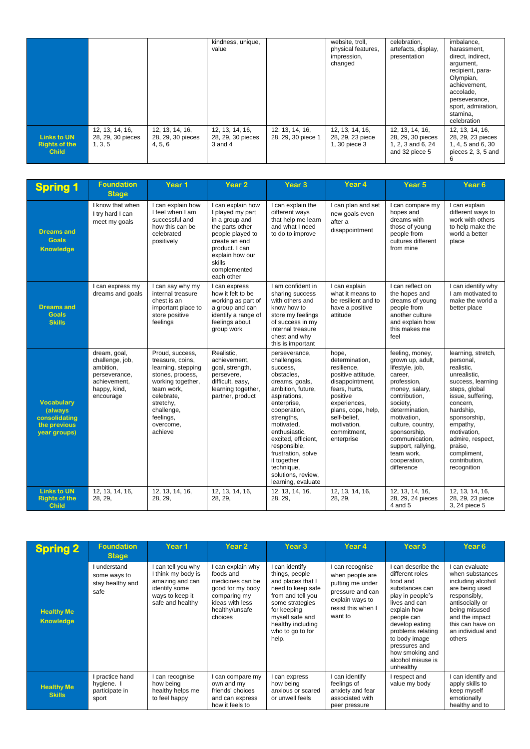|                                                            |                                                 |                                                 | kindness, unique,<br>value                      |                                       | website, troll,<br>physical features.<br>impression,<br>changed | celebration.<br>artefacts, display,<br>presentation                         | imbalance,<br>harassment.<br>direct, indirect,<br>argument,<br>recipient, para-<br>Olympian,<br>achievement.<br>accolade.<br>perseverance,<br>sport, admiration,<br>stamina,<br>celebration |
|------------------------------------------------------------|-------------------------------------------------|-------------------------------------------------|-------------------------------------------------|---------------------------------------|-----------------------------------------------------------------|-----------------------------------------------------------------------------|---------------------------------------------------------------------------------------------------------------------------------------------------------------------------------------------|
| <b>Links to UN</b><br><b>Rights of the</b><br><b>Child</b> | 12, 13, 14, 16,<br>28, 29, 30 pieces<br>1, 3, 5 | 12, 13, 14, 16,<br>28, 29, 30 pieces<br>4, 5, 6 | 12, 13, 14, 16,<br>28, 29, 30 pieces<br>3 and 4 | 12, 13, 14, 16,<br>28, 29, 30 piece 1 | 12, 13, 14, 16,<br>28, 29, 23 piece<br>1, 30 piece 3            | 12, 13, 14, 16,<br>28, 29, 30 pieces<br>1, 2, 3 and 6, 24<br>and 32 piece 5 | 12, 13, 14, 16,<br>28, 29, 23 pieces<br>1, 4, 5 and 6, 30<br>pieces 2, 3, 5 and<br>6                                                                                                        |

| <b>Spring 1</b>                                                               | <b>Foundation</b><br><b>Stage</b>                                                                          | Year <sub>1</sub>                                                                                                                                                                              | Year 2                                                                                                                                                                                       | Year <sub>3</sub>                                                                                                                                                                                                                                                                                                               | Year 4                                                                                                                                                                                                         | Year <sub>5</sub>                                                                                                                                                                                                                                                                         | Year <sub>6</sub>                                                                                                                                                                                                                                                          |
|-------------------------------------------------------------------------------|------------------------------------------------------------------------------------------------------------|------------------------------------------------------------------------------------------------------------------------------------------------------------------------------------------------|----------------------------------------------------------------------------------------------------------------------------------------------------------------------------------------------|---------------------------------------------------------------------------------------------------------------------------------------------------------------------------------------------------------------------------------------------------------------------------------------------------------------------------------|----------------------------------------------------------------------------------------------------------------------------------------------------------------------------------------------------------------|-------------------------------------------------------------------------------------------------------------------------------------------------------------------------------------------------------------------------------------------------------------------------------------------|----------------------------------------------------------------------------------------------------------------------------------------------------------------------------------------------------------------------------------------------------------------------------|
| <b>Dreams and</b><br><b>Goals</b><br><b>Knowledge</b>                         | I know that when<br>I try hard I can<br>meet my goals                                                      | I can explain how<br>I feel when I am<br>successful and<br>how this can be<br>celebrated<br>positively                                                                                         | I can explain how<br>I played my part<br>in a group and<br>the parts other<br>people played to<br>create an end<br>product. I can<br>explain how our<br>skills<br>complemented<br>each other | I can explain the<br>different ways<br>that help me learn<br>and what I need<br>to do to improve                                                                                                                                                                                                                                | I can plan and set<br>new goals even<br>after a<br>disappointment                                                                                                                                              | I can compare my<br>hopes and<br>dreams with<br>those of young<br>people from<br>cultures different<br>from mine                                                                                                                                                                          | I can explain<br>different ways to<br>work with others<br>to help make the<br>world a better<br>place                                                                                                                                                                      |
| <b>Dreams and</b><br><b>Goals</b><br><b>Skills</b>                            | I can express my<br>dreams and goals                                                                       | I can say why my<br>internal treasure<br>chest is an<br>important place to<br>store positive<br>feelings                                                                                       | I can express<br>how it felt to be<br>working as part of<br>a group and can<br>identify a range of<br>feelings about<br>group work                                                           | I am confident in<br>sharing success<br>with others and<br>know how to<br>store my feelings<br>of success in my<br>internal treasure<br>chest and why<br>this is important                                                                                                                                                      | I can explain<br>what it means to<br>be resilient and to<br>have a positive<br>attitude                                                                                                                        | I can reflect on<br>the hopes and<br>dreams of young<br>people from<br>another culture<br>and explain how<br>this makes me<br>feel                                                                                                                                                        | I can identify why<br>I am motivated to<br>make the world a<br>better place                                                                                                                                                                                                |
| <b>Vocabulary</b><br>(always<br>consolidating<br>the previous<br>year groups) | dream, goal,<br>challenge, job,<br>ambition,<br>perseverance,<br>achievement,<br>happy, kind,<br>encourage | Proud, success,<br>treasure, coins,<br>learning, stepping<br>stones, process,<br>working together,<br>team work,<br>celebrate.<br>stretchy,<br>challenge,<br>feelings,<br>overcome.<br>achieve | Realistic.<br>achievement,<br>goal, strength,<br>persevere,<br>difficult, easy,<br>learning together,<br>partner, product                                                                    | perseverance,<br>challenges,<br>success,<br>obstacles,<br>dreams, goals,<br>ambition, future,<br>aspirations,<br>enterprise,<br>cooperation,<br>strengths,<br>motivated.<br>enthusiastic,<br>excited, efficient,<br>responsible,<br>frustration, solve<br>it together<br>technique,<br>solutions, review,<br>learning, evaluate | hope,<br>determination.<br>resilience,<br>positive attitude.<br>disappointment,<br>fears, hurts,<br>positive<br>experiences,<br>plans, cope, help,<br>self-belief.<br>motivation.<br>commitment.<br>enterprise | feeling, money,<br>grown up, adult,<br>lifestyle, job,<br>career,<br>profession,<br>money, salary,<br>contribution.<br>society,<br>determination,<br>motivation.<br>culture, country,<br>sponsorship,<br>communication,<br>support, rallying,<br>team work.<br>cooperation,<br>difference | learning, stretch,<br>personal,<br>realistic.<br>unrealistic,<br>success, learning<br>steps, global<br>issue, suffering,<br>concern.<br>hardship,<br>sponsorship,<br>empathy,<br>motivation,<br>admire, respect,<br>praise,<br>compliment.<br>contribution,<br>recognition |
| <b>Links to UN</b><br><b>Rights of the</b><br><b>Child</b>                    | 12, 13, 14, 16,<br>28, 29,                                                                                 | 12, 13, 14, 16,<br>28, 29,                                                                                                                                                                     | 12, 13, 14, 16,<br>28, 29,                                                                                                                                                                   | 12, 13, 14, 16,<br>28, 29,                                                                                                                                                                                                                                                                                                      | 12, 13, 14, 16,<br>28, 29,                                                                                                                                                                                     | 12, 13, 14, 16,<br>28, 29, 24 pieces<br>4 and 5                                                                                                                                                                                                                                           | 12, 13, 14, 16,<br>28, 29, 23 piece<br>3, 24 piece 5                                                                                                                                                                                                                       |

| <b>Spring 2</b>                       | <b>Foundation</b><br><b>Stage</b>                      | Year <sub>1</sub>                                                                                                 | Year 2                                                                                                                                 | Year <sub>3</sub>                                                                                                                                                                                      | Year 4                                                                                                                       | Year 5                                                                                                                                                                                                                                                              | Year <sub>6</sub>                                                                                                                                                                               |
|---------------------------------------|--------------------------------------------------------|-------------------------------------------------------------------------------------------------------------------|----------------------------------------------------------------------------------------------------------------------------------------|--------------------------------------------------------------------------------------------------------------------------------------------------------------------------------------------------------|------------------------------------------------------------------------------------------------------------------------------|---------------------------------------------------------------------------------------------------------------------------------------------------------------------------------------------------------------------------------------------------------------------|-------------------------------------------------------------------------------------------------------------------------------------------------------------------------------------------------|
| <b>Healthy Me</b><br><b>Knowledge</b> | understand<br>some ways to<br>stay healthy and<br>safe | can tell you why<br>I think my body is<br>amazing and can<br>identify some<br>ways to keep it<br>safe and healthy | I can explain why<br>foods and<br>medicines can be<br>good for my body<br>comparing my<br>ideas with less<br>healthy/unsafe<br>choices | I can identify<br>things, people<br>and places that I<br>need to keep safe<br>from and tell you<br>some strategies<br>for keeping<br>myself safe and<br>healthy including<br>who to go to for<br>help. | can recognise<br>when people are<br>putting me under<br>pressure and can<br>explain ways to<br>resist this when I<br>want to | I can describe the<br>different roles<br>food and<br>substances can<br>play in people's<br>lives and can<br>explain how<br>people can<br>develop eating<br>problems relating<br>to body image<br>pressures and<br>how smoking and<br>alcohol misuse is<br>unhealthy | can evaluate<br>when substances<br>including alcohol<br>are being used<br>responsibly,<br>antisocially or<br>being misused<br>and the impact<br>this can have on<br>an individual and<br>others |
| <b>Healthy Me</b><br><b>Skills</b>    | practice hand<br>hygiene. I<br>participate in<br>sport | can recognise<br>how being<br>healthy helps me<br>to feel happy                                                   | I can compare my<br>own and my<br>friends' choices<br>and can express<br>how it feels to                                               | can express<br>how being<br>anxious or scared<br>or unwell feels                                                                                                                                       | can identify<br>feelings of<br>anxiety and fear<br>associated with<br>peer pressure                                          | I respect and<br>value my body                                                                                                                                                                                                                                      | can identify and<br>apply skills to<br>keep myself<br>emotionally<br>healthy and to                                                                                                             |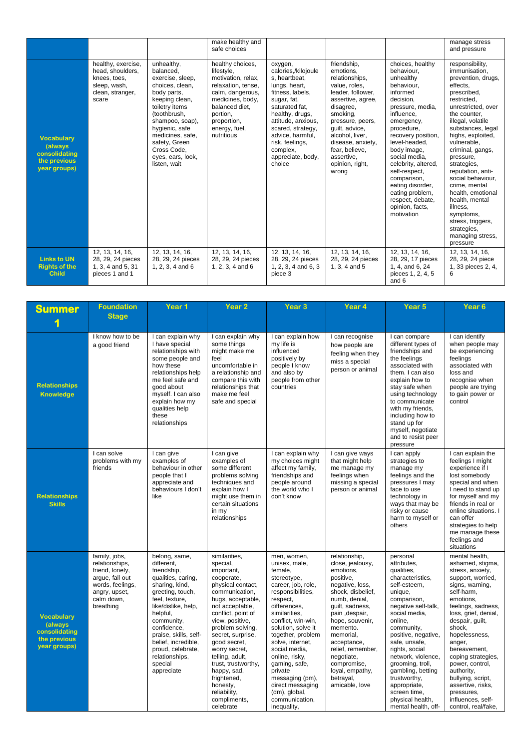|                                                                                |                                                                                                     |                                                                                                                                                                                                                                                                 | make healthy and<br>safe choices                                                                                                                                                               |                                                                                                                                                                                                                                                                       |                                                                                                                                                                                                                                                                          |                                                                                                                                                                                                                                                                                                                                                                            | manage stress<br>and pressure                                                                                                                                                                                                                                                                                                                                                                                                                                       |
|--------------------------------------------------------------------------------|-----------------------------------------------------------------------------------------------------|-----------------------------------------------------------------------------------------------------------------------------------------------------------------------------------------------------------------------------------------------------------------|------------------------------------------------------------------------------------------------------------------------------------------------------------------------------------------------|-----------------------------------------------------------------------------------------------------------------------------------------------------------------------------------------------------------------------------------------------------------------------|--------------------------------------------------------------------------------------------------------------------------------------------------------------------------------------------------------------------------------------------------------------------------|----------------------------------------------------------------------------------------------------------------------------------------------------------------------------------------------------------------------------------------------------------------------------------------------------------------------------------------------------------------------------|---------------------------------------------------------------------------------------------------------------------------------------------------------------------------------------------------------------------------------------------------------------------------------------------------------------------------------------------------------------------------------------------------------------------------------------------------------------------|
| <b>Vocabulary</b><br>(always)<br>consolidating<br>the previous<br>year groups) | healthy, exercise,<br>head, shoulders,<br>knees, toes,<br>sleep, wash,<br>clean, stranger,<br>scare | unhealthy,<br>balanced.<br>exercise, sleep,<br>choices, clean,<br>body parts,<br>keeping clean,<br>toiletry items<br>(toothbrush,<br>shampoo, soap),<br>hygienic, safe<br>medicines, safe,<br>safety, Green<br>Cross Code,<br>eyes, ears, look,<br>listen, wait | healthy choices,<br>lifestyle,<br>motivation, relax,<br>relaxation, tense,<br>calm, dangerous,<br>medicines, body,<br>balanced diet.<br>portion,<br>proportion,<br>energy, fuel,<br>nutritious | oxygen,<br>calories,/kilojoule<br>s, heartbeat,<br>lungs, heart,<br>fitness, labels,<br>sugar, fat,<br>saturated fat,<br>healthy, drugs,<br>attitude, anxious,<br>scared, strategy,<br>advice, harmful,<br>risk, feelings,<br>complex,<br>appreciate, body,<br>choice | friendship,<br>emotions,<br>relationships,<br>value, roles,<br>leader, follower,<br>assertive, agree,<br>disagree,<br>smoking,<br>pressure, peers,<br>quilt, advice,<br>alcohol. liver.<br>disease, anxiety,<br>fear, believe,<br>assertive,<br>opinion, right,<br>wrong | choices, healthy<br>behaviour,<br>unhealthy<br>behaviour,<br>informed<br>decision.<br>pressure, media,<br>influence.<br>emergency,<br>procedure,<br>recovery position,<br>level-headed,<br>body image,<br>social media,<br>celebrity, altered,<br>self-respect,<br>comparison,<br>eating disorder,<br>eating problem,<br>respect, debate,<br>opinion, facts,<br>motivation | responsibility,<br>immunisation,<br>prevention, drugs,<br>effects,<br>prescribed.<br>restricted.<br>unrestricted, over<br>the counter.<br>illegal, volatile<br>substances, legal<br>highs, exploited,<br>vulnerable,<br>criminal, gangs,<br>pressure,<br>strategies,<br>reputation, anti-<br>social behaviour.<br>crime, mental<br>health, emotional<br>health. mental<br>illness,<br>symptoms,<br>stress, triggers,<br>strategies,<br>managing stress,<br>pressure |
| <b>Links to UN</b><br><b>Rights of the</b><br><b>Child</b>                     | 12, 13, 14, 16,<br>28, 29, 24 pieces<br>1, 3, 4 and 5, 31<br>pieces 1 and 1                         | 12, 13, 14, 16,<br>28, 29, 24 pieces<br>$1, 2, 3, 4$ and 6                                                                                                                                                                                                      | 12, 13, 14, 16,<br>28, 29, 24 pieces<br>$1, 2, 3, 4$ and 6                                                                                                                                     | 12, 13, 14, 16,<br>28, 29, 24 pieces<br>1, 2, 3, 4 and 6, 3<br>piece 3                                                                                                                                                                                                | 12, 13, 14, 16,<br>28, 29, 24 pieces<br>1, 3, 4 and 5                                                                                                                                                                                                                    | 12, 13, 14, 16,<br>28, 29, 17 pieces<br>1, 4, and 6, 24<br>pieces 1, 2, 4, 5<br>and 6                                                                                                                                                                                                                                                                                      | 12, 13, 14, 16,<br>28, 29, 24 piece<br>1, 33 pieces 2, 4,<br>6                                                                                                                                                                                                                                                                                                                                                                                                      |

| <b>Summer</b>                                                                         | <b>Foundation</b><br><b>Stage</b>                                                                                                     | Year 1                                                                                                                                                                                                                                                                                                   | Year <sub>2</sub>                                                                                                                                                                                                                                                                                                                                                                        | Year <sub>3</sub>                                                                                                                                                                                                                                                                                                                                                                           | Year 4                                                                                                                                                                                                                                                                                                                   | Year <sub>5</sub>                                                                                                                                                                                                                                                                                                                                                                        | Year <sub>6</sub>                                                                                                                                                                                                                                                                                                                                                                                          |
|---------------------------------------------------------------------------------------|---------------------------------------------------------------------------------------------------------------------------------------|----------------------------------------------------------------------------------------------------------------------------------------------------------------------------------------------------------------------------------------------------------------------------------------------------------|------------------------------------------------------------------------------------------------------------------------------------------------------------------------------------------------------------------------------------------------------------------------------------------------------------------------------------------------------------------------------------------|---------------------------------------------------------------------------------------------------------------------------------------------------------------------------------------------------------------------------------------------------------------------------------------------------------------------------------------------------------------------------------------------|--------------------------------------------------------------------------------------------------------------------------------------------------------------------------------------------------------------------------------------------------------------------------------------------------------------------------|------------------------------------------------------------------------------------------------------------------------------------------------------------------------------------------------------------------------------------------------------------------------------------------------------------------------------------------------------------------------------------------|------------------------------------------------------------------------------------------------------------------------------------------------------------------------------------------------------------------------------------------------------------------------------------------------------------------------------------------------------------------------------------------------------------|
| <b>Relationships</b><br><b>Knowledge</b>                                              | I know how to be<br>a good friend                                                                                                     | I can explain why<br>I have special<br>relationships with<br>some people and<br>how these<br>relationships help<br>me feel safe and<br>good about<br>myself. I can also<br>explain how my<br>qualities help<br>these<br>relationships                                                                    | I can explain why<br>some things<br>might make me<br>feel<br>uncomfortable in<br>a relationship and<br>compare this with<br>relationships that<br>make me feel<br>safe and special                                                                                                                                                                                                       | I can explain how<br>my life is<br>influenced<br>positively by<br>people I know<br>and also by<br>people from other<br>countries                                                                                                                                                                                                                                                            | I can recognise<br>how people are<br>feeling when they<br>miss a special<br>person or animal                                                                                                                                                                                                                             | I can compare<br>different types of<br>friendships and<br>the feelings<br>associated with<br>them. I can also<br>explain how to<br>stay safe when<br>using technology<br>to communicate<br>with my friends,<br>including how to<br>stand up for<br>myself, negotiate<br>and to resist peer<br>pressure                                                                                   | I can identify<br>when people may<br>be experiencing<br>feelings<br>associated with<br>loss and<br>recognise when<br>people are trying<br>to gain power or<br>control                                                                                                                                                                                                                                      |
| <b>Relationships</b><br><b>Skills</b>                                                 | I can solve<br>problems with my<br>friends                                                                                            | I can give<br>examples of<br>behaviour in other<br>people that I<br>appreciate and<br>behaviours I don't<br>like                                                                                                                                                                                         | I can give<br>examples of<br>some different<br>problems solving<br>techniques and<br>explain how I<br>might use them in<br>certain situations<br>in my<br>relationships                                                                                                                                                                                                                  | I can explain why<br>my choices might<br>affect my family,<br>friendships and<br>people around<br>the world who I<br>don't know                                                                                                                                                                                                                                                             | I can give ways<br>that might help<br>me manage my<br>feelings when<br>missing a special<br>person or animal                                                                                                                                                                                                             | I can apply<br>strategies to<br>manage my<br>feelings and the<br>pressures I may<br>face to use<br>technology in<br>ways that may be<br>risky or cause<br>harm to myself or<br>others                                                                                                                                                                                                    | I can explain the<br>feelings I might<br>experience if I<br>lost somebody<br>special and when<br>I need to stand up<br>for myself and my<br>friends in real or<br>online situations. I<br>can offer<br>strategies to help<br>me manage these<br>feelings and<br>situations                                                                                                                                 |
| <b>Vocabulary</b><br><b>(always)</b><br>consolidating<br>the previous<br>year groups) | family, jobs,<br>relationships,<br>friend, lonely,<br>argue, fall out<br>words, feelings,<br>angry, upset,<br>calm down,<br>breathing | belong, same,<br>different.<br>friendship,<br>qualities, caring,<br>sharing, kind,<br>greeting, touch,<br>feel, texture,<br>like/dislike, help,<br>helpful,<br>community,<br>confidence,<br>praise, skills, self-<br>belief, incredible,<br>proud, celebrate,<br>relationships,<br>special<br>appreciate | similarities,<br>special,<br>important,<br>cooperate,<br>physical contact,<br>communication,<br>hugs, acceptable,<br>not acceptable.<br>conflict, point of<br>view, positive,<br>problem solving,<br>secret, surprise,<br>good secret,<br>worry secret,<br>telling, adult,<br>trust, trustworthy,<br>happy, sad,<br>frightened,<br>honesty,<br>reliability,<br>compliments,<br>celebrate | men, women,<br>unisex, male,<br>female,<br>stereotype,<br>career, job, role,<br>responsibilities,<br>respect,<br>differences,<br>similarities,<br>conflict, win-win,<br>solution, solve it<br>together, problem<br>solve, internet,<br>social media,<br>online, risky,<br>gaming, safe,<br>private<br>messaging (pm),<br>direct messaging<br>(dm), global,<br>communication,<br>inequality, | relationship,<br>close, jealousy,<br>emotions,<br>positive,<br>negative, loss,<br>shock, disbelief,<br>numb, denial,<br>quilt, sadness,<br>pain, despair,<br>hope, souvenir,<br>memento.<br>memorial,<br>acceptance,<br>relief, remember,<br>negotiate,<br>compromise,<br>loyal, empathy,<br>betrayal,<br>amicable, love | personal<br>attributes,<br>qualities,<br>characteristics,<br>self-esteem,<br>unique,<br>comparison,<br>negative self-talk,<br>social media,<br>online,<br>community,<br>positive, negative,<br>safe, unsafe,<br>rights, social<br>network, violence,<br>grooming, troll,<br>gambling, betting<br>trustworthy,<br>appropriate,<br>screen time,<br>physical health,<br>mental health, off- | mental health,<br>ashamed, stigma,<br>stress, anxiety,<br>support, worried,<br>signs, warning,<br>self-harm,<br>emotions.<br>feelings, sadness,<br>loss, grief, denial,<br>despair, guilt,<br>shock,<br>hopelessness,<br>anger,<br>bereavement,<br>coping strategies,<br>power, control,<br>authority,<br>bullying, script,<br>assertive, risks,<br>pressures,<br>influences, self-<br>control, real/fake, |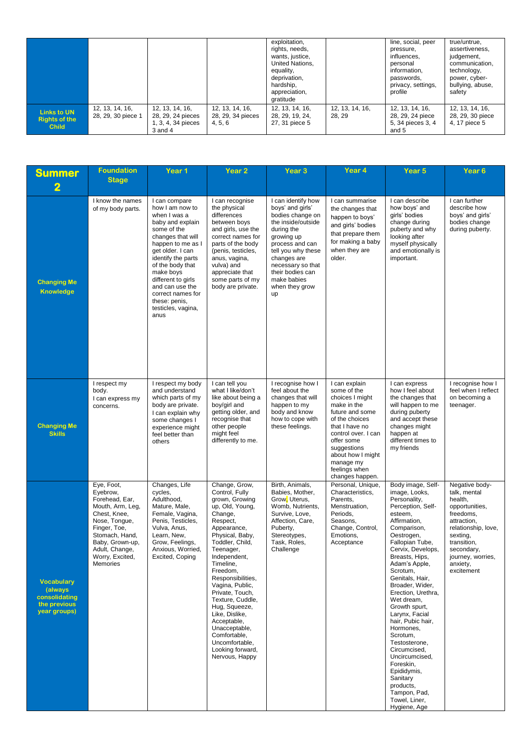|                                                            |                                       |                                                                           |                                                 | exploitation,<br>rights, needs,<br>wants, justice,<br>United Nations,<br>equality,<br>deprivation,<br>hardship,<br>appreciation,<br>gratitude |                          | line, social, peer<br>pressure,<br>influences,<br>personal<br>information,<br>passwords,<br>privacy, settings,<br>profile | true/untrue,<br>assertiveness.<br>judgement,<br>communication,<br>technology,<br>power, cyber-<br>bullying, abuse,<br>safety |
|------------------------------------------------------------|---------------------------------------|---------------------------------------------------------------------------|-------------------------------------------------|-----------------------------------------------------------------------------------------------------------------------------------------------|--------------------------|---------------------------------------------------------------------------------------------------------------------------|------------------------------------------------------------------------------------------------------------------------------|
| <b>Links to UN</b><br><b>Rights of the</b><br><b>Child</b> | 12, 13, 14, 16,<br>28, 29, 30 piece 1 | 12, 13, 14, 16,<br>28, 29, 24 pieces<br>1, 3, 4, 34 pieces<br>$3$ and $4$ | 12, 13, 14, 16,<br>28, 29, 34 pieces<br>4, 5, 6 | 12, 13, 14, 16,<br>28, 29, 19, 24,<br>27, 31 piece 5                                                                                          | 12, 13, 14, 16,<br>28.29 | 12, 13, 14, 16,<br>28, 29, 24 piece<br>5, 34 pieces 3, 4<br>and 5                                                         | 12, 13, 14, 16,<br>28, 29, 30 piece<br>4, 17 piece 5                                                                         |

| <b>Summer</b>                                                                  | <b>Foundation</b><br><b>Stage</b>                                                                                                                                                                   | Year 1                                                                                                                                                                                                                                                                                                                | Year 2                                                                                                                                                                                                                                                                                                                                                                                                                           | Year 3                                                                                                                                                                                                                                               | Year 4                                                                                                                                                                                                                                          | Year <sub>5</sub>                                                                                                                                                                                                                                                                                                                                                                                                                                                                                                                          | Year <sub>6</sub>                                                                                                                                                                                      |
|--------------------------------------------------------------------------------|-----------------------------------------------------------------------------------------------------------------------------------------------------------------------------------------------------|-----------------------------------------------------------------------------------------------------------------------------------------------------------------------------------------------------------------------------------------------------------------------------------------------------------------------|----------------------------------------------------------------------------------------------------------------------------------------------------------------------------------------------------------------------------------------------------------------------------------------------------------------------------------------------------------------------------------------------------------------------------------|------------------------------------------------------------------------------------------------------------------------------------------------------------------------------------------------------------------------------------------------------|-------------------------------------------------------------------------------------------------------------------------------------------------------------------------------------------------------------------------------------------------|--------------------------------------------------------------------------------------------------------------------------------------------------------------------------------------------------------------------------------------------------------------------------------------------------------------------------------------------------------------------------------------------------------------------------------------------------------------------------------------------------------------------------------------------|--------------------------------------------------------------------------------------------------------------------------------------------------------------------------------------------------------|
| 2<br><b>Changing Me</b><br><b>Knowledge</b>                                    | I know the names<br>of my body parts.                                                                                                                                                               | I can compare<br>how I am now to<br>when I was a<br>baby and explain<br>some of the<br>changes that will<br>happen to me as I<br>get older. I can<br>identify the parts<br>of the body that<br>make boys<br>different to girls<br>and can use the<br>correct names for<br>these: penis,<br>testicles, vagina,<br>anus | I can recognise<br>the physical<br>differences<br>between boys<br>and girls, use the<br>correct names for<br>parts of the body<br>(penis, testicles,<br>anus, vagina,<br>vulva) and<br>appreciate that<br>some parts of my<br>body are private.                                                                                                                                                                                  | I can identify how<br>boys' and girls'<br>bodies change on<br>the inside/outside<br>during the<br>growing up<br>process and can<br>tell you why these<br>changes are<br>necessary so that<br>their bodies can<br>make babies<br>when they grow<br>up | I can summarise<br>the changes that<br>happen to boys'<br>and girls' bodies<br>that prepare them<br>for making a baby<br>when they are<br>older.                                                                                                | I can describe<br>how boys' and<br>girls' bodies<br>change during<br>puberty and why<br>looking after<br>myself physically<br>and emotionally is<br>important.                                                                                                                                                                                                                                                                                                                                                                             | I can further<br>describe how<br>boys' and girls'<br>bodies change<br>during puberty.                                                                                                                  |
| <b>Changing Me</b><br><b>Skills</b>                                            | I respect my<br>body.<br>I can express my<br>concerns.                                                                                                                                              | I respect my body<br>and understand<br>which parts of my<br>body are private.<br>I can explain why<br>some changes I<br>experience might<br>feel better than<br>others                                                                                                                                                | I can tell you<br>what I like/don't<br>like about being a<br>boy/girl and<br>getting older, and<br>recognise that<br>other people<br>might feel<br>differently to me.                                                                                                                                                                                                                                                            | I recognise how I<br>feel about the<br>changes that will<br>happen to my<br>body and know<br>how to cope with<br>these feelings.                                                                                                                     | I can explain<br>some of the<br>choices I might<br>make in the<br>future and some<br>of the choices<br>that I have no<br>control over. I can<br>offer some<br>suggestions<br>about how I might<br>manage my<br>feelings when<br>changes happen. | I can express<br>how I feel about<br>the changes that<br>will happen to me<br>during puberty<br>and accept these<br>changes might<br>happen at<br>different times to<br>my friends                                                                                                                                                                                                                                                                                                                                                         | I recognise how I<br>feel when I reflect<br>on becoming a<br>teenager.                                                                                                                                 |
| <b>Vocabulary</b><br>(always)<br>consolidating<br>the previous<br>year groups) | Eye, Foot,<br>Eyebrow,<br>Forehead, Ear,<br>Mouth, Arm, Leg,<br>Chest, Knee,<br>Nose, Tongue,<br>Finger, Toe,<br>Stomach, Hand,<br>Baby, Grown-up,<br>Adult, Change,<br>Worry, Excited,<br>Memories | Changes, Life<br>cycles,<br>Adulthood,<br>Mature, Male,<br>Female, Vagina,<br>Penis, Testicles,<br>Vulva, Anus,<br>Learn, New,<br>Grow, Feelings,<br>Anxious, Worried,<br>Excited, Coping                                                                                                                             | Change, Grow,<br>Control, Fully<br>grown, Growing<br>up, Old, Young,<br>Change,<br>Respect,<br>Appearance,<br>Physical, Baby,<br>Toddler, Child,<br>Teenager,<br>Independent,<br>Timeline,<br>Freedom,<br>Responsibilities,<br>Vagina, Public,<br>Private, Touch,<br>Texture, Cuddle,<br>Hug, Squeeze,<br>Like, Dislike,<br>Acceptable,<br>Unacceptable,<br>Comfortable,<br>Uncomfortable,<br>Looking forward,<br>Nervous, Happy | Birth, Animals,<br>Babies, Mother,<br>Grow, Uterus,<br>Womb, Nutrients,<br>Survive, Love,<br>Affection, Care,<br>Puberty.<br>Stereotypes,<br>Task, Roles,<br>Challenge                                                                               | Personal, Unique,<br>Characteristics,<br>Parents,<br>Menstruation,<br>Periods,<br>Seasons,<br>Change, Control,<br>Emotions,<br>Acceptance                                                                                                       | Body image, Self-<br>image, Looks,<br>Personality,<br>Perception, Self-<br>esteem.<br>Affirmation,<br>Comparison,<br>Oestrogen,<br>Fallopian Tube,<br>Cervix, Develops,<br>Breasts, Hips,<br>Adam's Apple,<br>Scrotum,<br>Genitals, Hair,<br>Broader, Wider,<br>Erection, Urethra,<br>Wet dream,<br>Growth spurt,<br>Larynx, Facial<br>hair, Pubic hair,<br>Hormones.<br>Scrotum,<br>Testosterone,<br>Circumcised,<br>Uncircumcised,<br>Foreskin,<br>Epididymis,<br>Sanitary<br>products,<br>Tampon, Pad,<br>Towel, Liner,<br>Hygiene, Age | Negative body-<br>talk, mental<br>health,<br>opportunities,<br>freedoms,<br>attraction,<br>relationship, love,<br>sexting,<br>transition,<br>secondary,<br>journey, worries,<br>anxiety,<br>excitement |